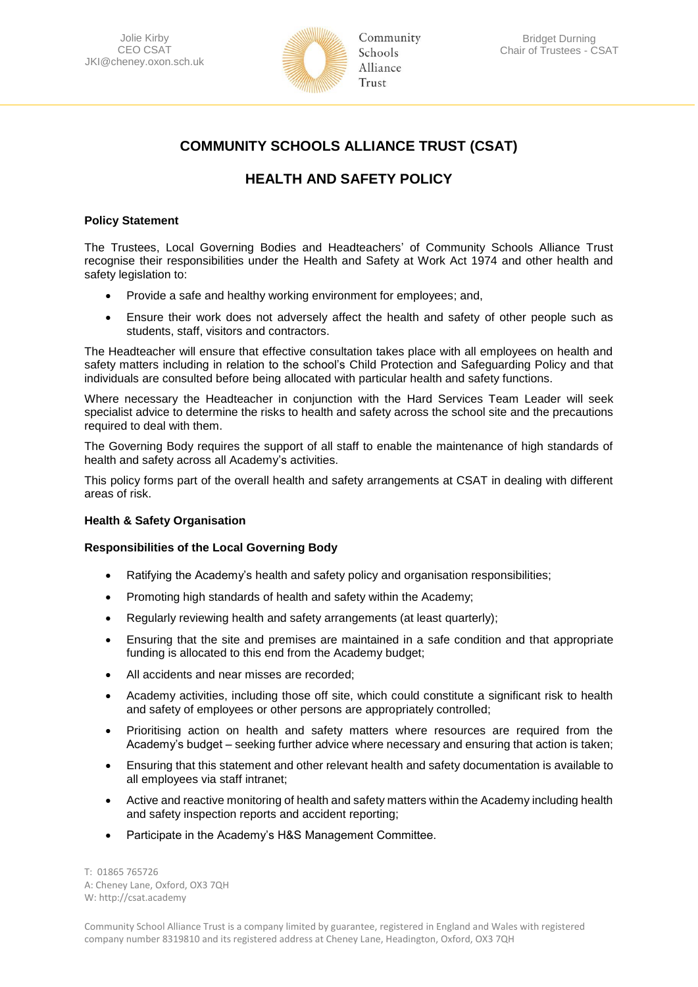

# **COMMUNITY SCHOOLS ALLIANCE TRUST (CSAT)**

# **HEALTH AND SAFETY POLICY**

# **Policy Statement**

The Trustees, Local Governing Bodies and Headteachers' of Community Schools Alliance Trust recognise their responsibilities under the Health and Safety at Work Act 1974 and other health and safety legislation to:

- Provide a safe and healthy working environment for employees; and,
- Ensure their work does not adversely affect the health and safety of other people such as students, staff, visitors and contractors.

The Headteacher will ensure that effective consultation takes place with all employees on health and safety matters including in relation to the school's Child Protection and Safeguarding Policy and that individuals are consulted before being allocated with particular health and safety functions.

Where necessary the Headteacher in conjunction with the Hard Services Team Leader will seek specialist advice to determine the risks to health and safety across the school site and the precautions required to deal with them.

The Governing Body requires the support of all staff to enable the maintenance of high standards of health and safety across all Academy's activities.

This policy forms part of the overall health and safety arrangements at CSAT in dealing with different areas of risk.

# **Health & Safety Organisation**

# **Responsibilities of the Local Governing Body**

- Ratifying the Academy's health and safety policy and organisation responsibilities;
- Promoting high standards of health and safety within the Academy;
- Regularly reviewing health and safety arrangements (at least quarterly);
- Ensuring that the site and premises are maintained in a safe condition and that appropriate funding is allocated to this end from the Academy budget;
- All accidents and near misses are recorded;
- Academy activities, including those off site, which could constitute a significant risk to health and safety of employees or other persons are appropriately controlled;
- Prioritising action on health and safety matters where resources are required from the Academy's budget – seeking further advice where necessary and ensuring that action is taken;
- Ensuring that this statement and other relevant health and safety documentation is available to all employees via staff intranet;
- Active and reactive monitoring of health and safety matters within the Academy including health and safety inspection reports and accident reporting;
- Participate in the Academy's H&S Management Committee.

T: 01865 765726 A: Cheney Lane, Oxford, OX3 7QH W: http://csat.academy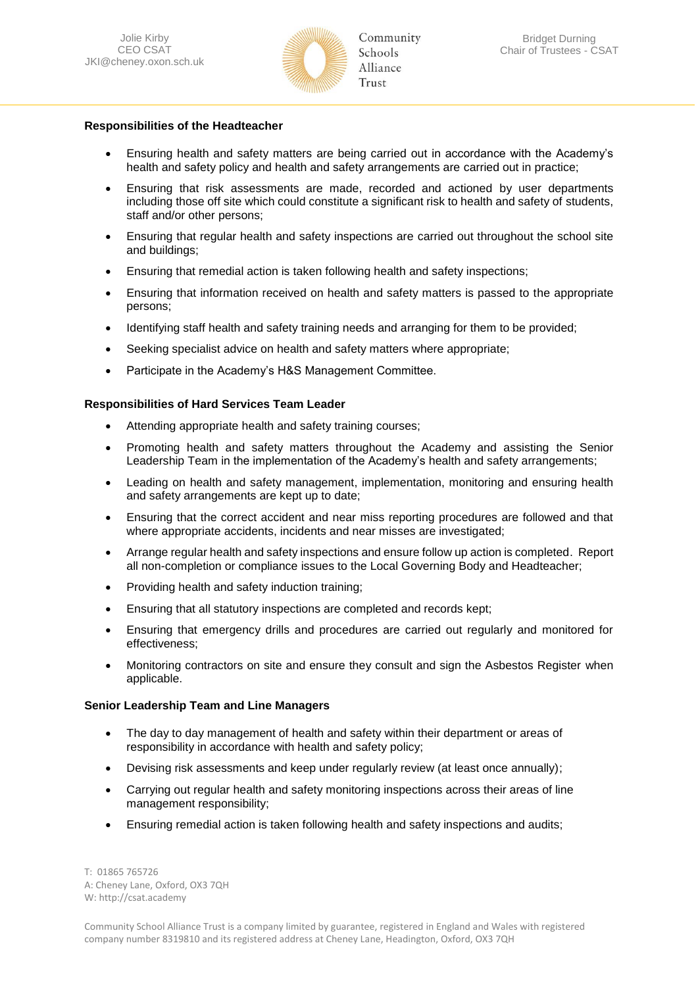

## **Responsibilities of the Headteacher**

- Ensuring health and safety matters are being carried out in accordance with the Academy's health and safety policy and health and safety arrangements are carried out in practice;
- Ensuring that risk assessments are made, recorded and actioned by user departments including those off site which could constitute a significant risk to health and safety of students, staff and/or other persons;
- Ensuring that regular health and safety inspections are carried out throughout the school site and buildings;
- Ensuring that remedial action is taken following health and safety inspections;
- Ensuring that information received on health and safety matters is passed to the appropriate persons;
- Identifying staff health and safety training needs and arranging for them to be provided;
- Seeking specialist advice on health and safety matters where appropriate;
- Participate in the Academy's H&S Management Committee.

## **Responsibilities of Hard Services Team Leader**

- Attending appropriate health and safety training courses;
- Promoting health and safety matters throughout the Academy and assisting the Senior Leadership Team in the implementation of the Academy's health and safety arrangements;
- Leading on health and safety management, implementation, monitoring and ensuring health and safety arrangements are kept up to date;
- Ensuring that the correct accident and near miss reporting procedures are followed and that where appropriate accidents, incidents and near misses are investigated;
- Arrange regular health and safety inspections and ensure follow up action is completed. Report all non-completion or compliance issues to the Local Governing Body and Headteacher;
- Providing health and safety induction training;
- Ensuring that all statutory inspections are completed and records kept;
- Ensuring that emergency drills and procedures are carried out regularly and monitored for effectiveness;
- Monitoring contractors on site and ensure they consult and sign the Asbestos Register when applicable.

### **Senior Leadership Team and Line Managers**

- The day to day management of health and safety within their department or areas of responsibility in accordance with health and safety policy;
- Devising risk assessments and keep under regularly review (at least once annually);
- Carrying out regular health and safety monitoring inspections across their areas of line management responsibility;
- Ensuring remedial action is taken following health and safety inspections and audits;

T: 01865 765726 A: Cheney Lane, Oxford, OX3 7QH W: http://csat.academy